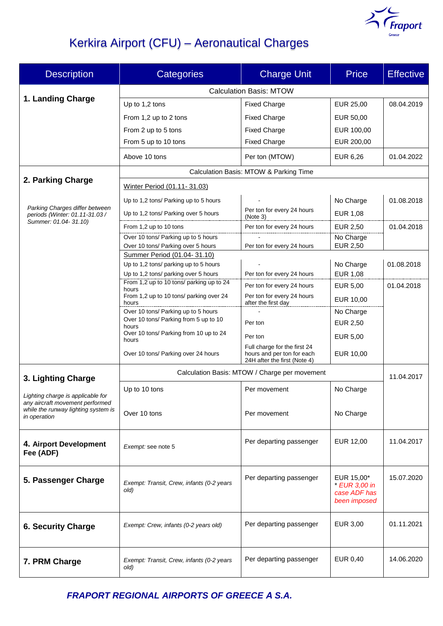

# Kerkira Airport (CFU) – Aeronautical Charges

| <b>Description</b>                                                                                                          | <b>Categories</b>                                                         | <b>Charge Unit</b>                                                                         | <b>Price</b>                                                | <b>Effective</b> |  |
|-----------------------------------------------------------------------------------------------------------------------------|---------------------------------------------------------------------------|--------------------------------------------------------------------------------------------|-------------------------------------------------------------|------------------|--|
|                                                                                                                             | <b>Calculation Basis: MTOW</b>                                            |                                                                                            |                                                             |                  |  |
| 1. Landing Charge                                                                                                           | Up to 1,2 tons                                                            | <b>Fixed Charge</b>                                                                        | EUR 25,00                                                   | 08.04.2019       |  |
|                                                                                                                             | From 1,2 up to 2 tons                                                     | <b>Fixed Charge</b>                                                                        | EUR 50,00                                                   |                  |  |
|                                                                                                                             | From 2 up to 5 tons                                                       | <b>Fixed Charge</b>                                                                        | EUR 100,00                                                  |                  |  |
|                                                                                                                             | From 5 up to 10 tons                                                      | <b>Fixed Charge</b>                                                                        | EUR 200,00                                                  |                  |  |
|                                                                                                                             | Above 10 tons                                                             | Per ton (MTOW)                                                                             | EUR 6,26                                                    | 01.04.2022       |  |
| 2. Parking Charge                                                                                                           | Calculation Basis: MTOW & Parking Time                                    |                                                                                            |                                                             |                  |  |
|                                                                                                                             | Winter Period (01.11-31.03)                                               |                                                                                            |                                                             |                  |  |
| Parking Charges differ between<br>periods (Winter: 01.11-31.03 /                                                            | Up to 1,2 tons/ Parking up to 5 hours                                     |                                                                                            | No Charge                                                   | 01.08.2018       |  |
|                                                                                                                             | Up to 1,2 tons/ Parking over 5 hours                                      | Per ton for every 24 hours<br>(Note 3)                                                     | <b>EUR 1,08</b>                                             |                  |  |
| Summer: 01.04- 31.10)                                                                                                       | From 1,2 up to 10 tons                                                    | Per ton for every 24 hours                                                                 | <b>EUR 2,50</b>                                             | 01.04.2018       |  |
|                                                                                                                             | Over 10 tons/ Parking up to 5 hours<br>Over 10 tons/ Parking over 5 hours |                                                                                            | No Charge<br><b>EUR 2,50</b>                                |                  |  |
|                                                                                                                             | Summer Period (01.04-31.10)                                               | Per ton for every 24 hours                                                                 |                                                             |                  |  |
|                                                                                                                             | Up to 1,2 tons/ parking up to 5 hours                                     |                                                                                            | No Charge                                                   | 01.08.2018       |  |
|                                                                                                                             | Up to 1,2 tons/ parking over 5 hours                                      | Per ton for every 24 hours                                                                 | <b>EUR 1,08</b>                                             |                  |  |
|                                                                                                                             | From 1,2 up to 10 tons/ parking up to 24<br>hours                         | Per ton for every 24 hours                                                                 | <b>EUR 5,00</b>                                             | 01.04.2018       |  |
|                                                                                                                             | From 1,2 up to 10 tons/ parking over 24<br>hours                          | Per ton for every 24 hours<br>after the first day                                          | EUR 10,00                                                   |                  |  |
|                                                                                                                             | Over 10 tons/ Parking up to 5 hours                                       |                                                                                            | No Charge                                                   |                  |  |
|                                                                                                                             | Over 10 tons/ Parking from 5 up to 10<br>hours                            | Per ton                                                                                    | EUR 2,50                                                    |                  |  |
|                                                                                                                             | Over 10 tons/ Parking from 10 up to 24<br>hours                           | Per ton                                                                                    | EUR 5,00                                                    |                  |  |
|                                                                                                                             | Over 10 tons/ Parking over 24 hours                                       | Full charge for the first 24<br>hours and per ton for each<br>24H after the first (Note 4) | EUR 10,00                                                   |                  |  |
| 3. Lighting Charge                                                                                                          | Calculation Basis: MTOW / Charge per movement                             |                                                                                            |                                                             | 11.04.2017       |  |
| Lighting charge is applicable for<br>any aircraft movement performed<br>while the runway lighting system is<br>in operation | Up to 10 tons                                                             | Per movement                                                                               | No Charge                                                   |                  |  |
|                                                                                                                             |                                                                           |                                                                                            |                                                             |                  |  |
|                                                                                                                             | Over 10 tons                                                              | Per movement                                                                               | No Charge                                                   |                  |  |
|                                                                                                                             |                                                                           |                                                                                            |                                                             |                  |  |
| 4. Airport Development<br>Fee (ADF)                                                                                         | Exempt: see note 5                                                        | Per departing passenger                                                                    | EUR 12,00                                                   | 11.04.2017       |  |
| 5. Passenger Charge                                                                                                         | Exempt: Transit, Crew, infants (0-2 years<br>old)                         | Per departing passenger                                                                    | EUR 15,00*<br>* EUR 3,00 in<br>case ADF has<br>been imposed | 15.07.2020       |  |
| <b>6. Security Charge</b>                                                                                                   | Exempt: Crew, infants (0-2 years old)                                     | Per departing passenger                                                                    | EUR 3,00                                                    | 01.11.2021       |  |
| 7. PRM Charge                                                                                                               | Exempt: Transit, Crew, infants (0-2 years<br>old)                         | Per departing passenger                                                                    | EUR 0,40                                                    | 14.06.2020       |  |

*FRAPORT REGIONAL AIRPORTS OF GREECE Α S.A.*